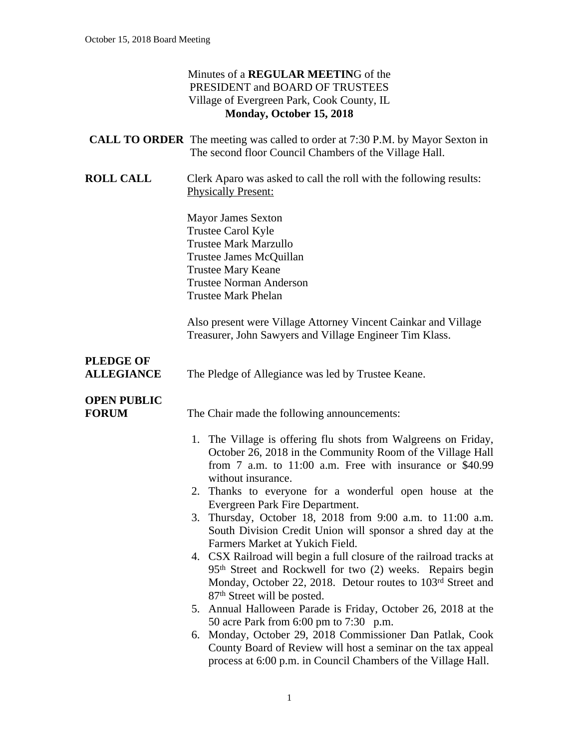| Minutes of a REGULAR MEETING of the        |  |
|--------------------------------------------|--|
| PRESIDENT and BOARD OF TRUSTEES            |  |
| Village of Evergreen Park, Cook County, IL |  |
| Monday, October 15, 2018                   |  |

|                                       | <b>CALL TO ORDER</b> The meeting was called to order at 7:30 P.M. by Mayor Sexton in<br>The second floor Council Chambers of the Village Hall.                                                                                                                                                                                                                                                                                                                                                                                                                                                                                                                                                                                                                                                                                                                                                                                                                                                                                                                     |
|---------------------------------------|--------------------------------------------------------------------------------------------------------------------------------------------------------------------------------------------------------------------------------------------------------------------------------------------------------------------------------------------------------------------------------------------------------------------------------------------------------------------------------------------------------------------------------------------------------------------------------------------------------------------------------------------------------------------------------------------------------------------------------------------------------------------------------------------------------------------------------------------------------------------------------------------------------------------------------------------------------------------------------------------------------------------------------------------------------------------|
| <b>ROLL CALL</b>                      | Clerk Aparo was asked to call the roll with the following results:<br><b>Physically Present:</b>                                                                                                                                                                                                                                                                                                                                                                                                                                                                                                                                                                                                                                                                                                                                                                                                                                                                                                                                                                   |
|                                       | <b>Mayor James Sexton</b><br>Trustee Carol Kyle<br><b>Trustee Mark Marzullo</b><br>Trustee James McQuillan<br><b>Trustee Mary Keane</b><br><b>Trustee Norman Anderson</b><br><b>Trustee Mark Phelan</b>                                                                                                                                                                                                                                                                                                                                                                                                                                                                                                                                                                                                                                                                                                                                                                                                                                                            |
|                                       | Also present were Village Attorney Vincent Cainkar and Village<br>Treasurer, John Sawyers and Village Engineer Tim Klass.                                                                                                                                                                                                                                                                                                                                                                                                                                                                                                                                                                                                                                                                                                                                                                                                                                                                                                                                          |
| <b>PLEDGE OF</b><br><b>ALLEGIANCE</b> | The Pledge of Allegiance was led by Trustee Keane.                                                                                                                                                                                                                                                                                                                                                                                                                                                                                                                                                                                                                                                                                                                                                                                                                                                                                                                                                                                                                 |
| <b>OPEN PUBLIC</b><br><b>FORUM</b>    | The Chair made the following announcements:                                                                                                                                                                                                                                                                                                                                                                                                                                                                                                                                                                                                                                                                                                                                                                                                                                                                                                                                                                                                                        |
|                                       | 1. The Village is offering flu shots from Walgreens on Friday,<br>October 26, 2018 in the Community Room of the Village Hall<br>from $7$ a.m. to $11:00$ a.m. Free with insurance or \$40.99<br>without insurance.<br>2. Thanks to everyone for a wonderful open house at the<br>Evergreen Park Fire Department.<br>3. Thursday, October 18, 2018 from 9:00 a.m. to 11:00 a.m.<br>South Division Credit Union will sponsor a shred day at the<br>Farmers Market at Yukich Field.<br>4. CSX Railroad will begin a full closure of the railroad tracks at<br>95 <sup>th</sup> Street and Rockwell for two (2) weeks. Repairs begin<br>Monday, October 22, 2018. Detour routes to 103 <sup>rd</sup> Street and<br>87 <sup>th</sup> Street will be posted.<br>5. Annual Halloween Parade is Friday, October 26, 2018 at the<br>50 acre Park from 6:00 pm to 7:30 p.m.<br>Monday, October 29, 2018 Commissioner Dan Patlak, Cook<br>6.<br>County Board of Review will host a seminar on the tax appeal<br>process at 6:00 p.m. in Council Chambers of the Village Hall. |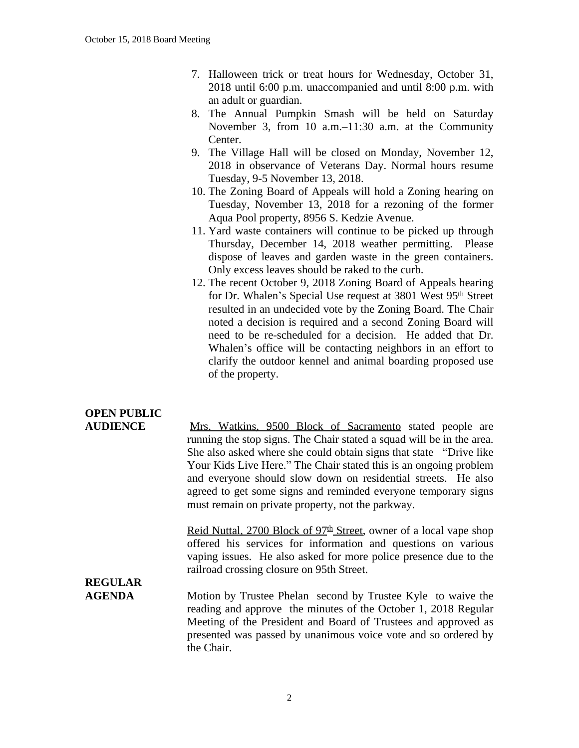- 7. Halloween trick or treat hours for Wednesday, October 31, 2018 until 6:00 p.m. unaccompanied and until 8:00 p.m. with an adult or guardian.
- 8. The Annual Pumpkin Smash will be held on Saturday November 3, from 10 a.m.–11:30 a.m. at the Community Center.
- 9. The Village Hall will be closed on Monday, November 12, 2018 in observance of Veterans Day. Normal hours resume Tuesday, 9-5 November 13, 2018.
- 10. The Zoning Board of Appeals will hold a Zoning hearing on Tuesday, November 13, 2018 for a rezoning of the former Aqua Pool property, 8956 S. Kedzie Avenue.
- 11. Yard waste containers will continue to be picked up through Thursday, December 14, 2018 weather permitting. Please dispose of leaves and garden waste in the green containers. Only excess leaves should be raked to the curb.
- 12. The recent October 9, 2018 Zoning Board of Appeals hearing for Dr. Whalen's Special Use request at 3801 West 95<sup>th</sup> Street resulted in an undecided vote by the Zoning Board. The Chair noted a decision is required and a second Zoning Board will need to be re-scheduled for a decision. He added that Dr. Whalen's office will be contacting neighbors in an effort to clarify the outdoor kennel and animal boarding proposed use of the property.

## **OPEN PUBLIC**

| <b>AUDIENCE</b> | Mrs. Watkins, 9500 Block of Sacramento stated people are              |
|-----------------|-----------------------------------------------------------------------|
|                 | running the stop signs. The Chair stated a squad will be in the area. |
|                 | She also asked where she could obtain signs that state "Drive like"   |
|                 | Your Kids Live Here." The Chair stated this is an ongoing problem     |
|                 | and everyone should slow down on residential streets. He also         |
|                 | agreed to get some signs and reminded everyone temporary signs        |
|                 | must remain on private property, not the parkway.                     |

Reid Nuttal, 2700 Block of 97<sup>th</sup> Street, owner of a local vape shop offered his services for information and questions on various vaping issues. He also asked for more police presence due to the railroad crossing closure on 95th Street.

# **REGULAR**

**AGENDA** Motion by Trustee Phelan second by Trustee Kyle to waive the reading and approve the minutes of the October 1, 2018 Regular Meeting of the President and Board of Trustees and approved as presented was passed by unanimous voice vote and so ordered by the Chair.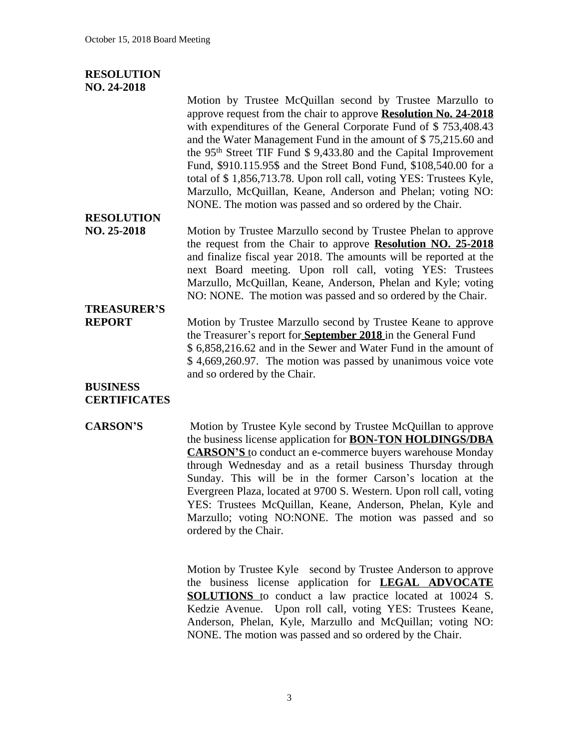#### **RESOLUTION NO. 24-2018**

Motion by Trustee McQuillan second by Trustee Marzullo to approve request from the chair to approve **Resolution No. 24-2018** with expenditures of the General Corporate Fund of \$753,408.43 and the Water Management Fund in the amount of \$ 75,215.60 and the 95th Street TIF Fund \$ 9,433.80 and the Capital Improvement Fund, \$910.115.95\$ and the Street Bond Fund, \$108,540.00 for a total of \$ 1,856,713.78. Upon roll call, voting YES: Trustees Kyle, Marzullo, McQuillan, Keane, Anderson and Phelan; voting NO: NONE. The motion was passed and so ordered by the Chair.

## **RESOLUTION**

**NO. 25-2018** Motion by Trustee Marzullo second by Trustee Phelan to approve the request from the Chair to approve **Resolution NO. 25-2018** and finalize fiscal year 2018. The amounts will be reported at the next Board meeting. Upon roll call, voting YES: Trustees Marzullo, McQuillan, Keane, Anderson, Phelan and Kyle; voting NO: NONE. The motion was passed and so ordered by the Chair.

# **TREASURER'S**

**REPORT** Motion by Trustee Marzullo second by Trustee Keane to approve the Treasurer's report for **September 2018** in the General Fund \$ 6,858,216.62 and in the Sewer and Water Fund in the amount of \$ 4,669,260.97. The motion was passed by unanimous voice vote and so ordered by the Chair.

#### **BUSINESS CERTIFICATES**

#### **CARSON'S** Motion by Trustee Kyle second by Trustee McQuillan to approve the business license application for **BON-TON HOLDINGS/DBA CARSON'S** to conduct an e-commerce buyers warehouse Monday through Wednesday and as a retail business Thursday through Sunday. This will be in the former Carson's location at the Evergreen Plaza, located at 9700 S. Western. Upon roll call, voting YES: Trustees McQuillan, Keane, Anderson, Phelan, Kyle and Marzullo; voting NO:NONE. The motion was passed and so ordered by the Chair.

Motion by Trustee Kyle second by Trustee Anderson to approve the business license application for **LEGAL ADVOCATE SOLUTIONS** to conduct a law practice located at 10024 S. Kedzie Avenue. Upon roll call, voting YES: Trustees Keane, Anderson, Phelan, Kyle, Marzullo and McQuillan; voting NO: NONE. The motion was passed and so ordered by the Chair.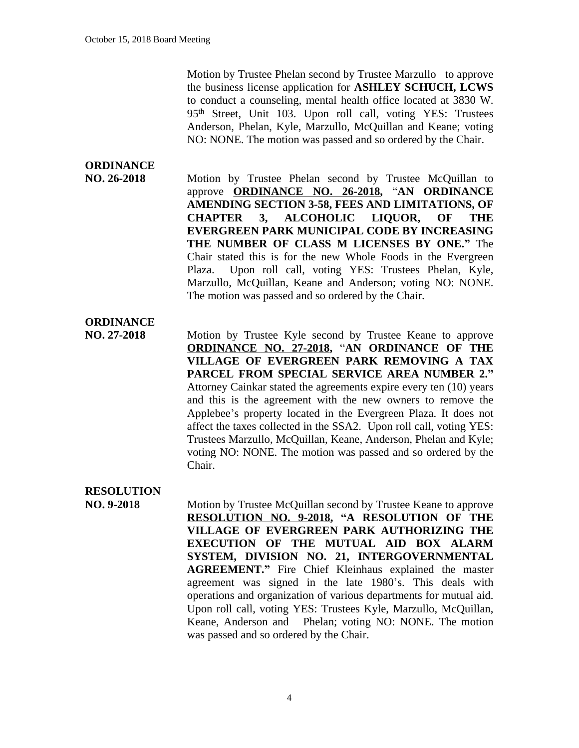Motion by Trustee Phelan second by Trustee Marzullo to approve the business license application for **ASHLEY SCHUCH, LCWS** to conduct a counseling, mental health office located at 3830 W. 95th Street, Unit 103. Upon roll call, voting YES: Trustees Anderson, Phelan, Kyle, Marzullo, McQuillan and Keane; voting NO: NONE. The motion was passed and so ordered by the Chair.

### **ORDINANCE**

**NO. 26-2018** Motion by Trustee Phelan second by Trustee McQuillan to approve **ORDINANCE NO. 26-2018,** "**AN ORDINANCE AMENDING SECTION 3-58, FEES AND LIMITATIONS, OF CHAPTER 3, ALCOHOLIC LIQUOR, OF THE EVERGREEN PARK MUNICIPAL CODE BY INCREASING THE NUMBER OF CLASS M LICENSES BY ONE."** The Chair stated this is for the new Whole Foods in the Evergreen Plaza. Upon roll call, voting YES: Trustees Phelan, Kyle, Marzullo, McQuillan, Keane and Anderson; voting NO: NONE. The motion was passed and so ordered by the Chair.

#### **ORDINANCE**

**NO. 27-2018** Motion by Trustee Kyle second by Trustee Keane to approve **ORDINANCE NO. 27-2018,** "**AN ORDINANCE OF THE VILLAGE OF EVERGREEN PARK REMOVING A TAX PARCEL FROM SPECIAL SERVICE AREA NUMBER 2."** Attorney Cainkar stated the agreements expire every ten (10) years and this is the agreement with the new owners to remove the Applebee's property located in the Evergreen Plaza. It does not affect the taxes collected in the SSA2. Upon roll call, voting YES: Trustees Marzullo, McQuillan, Keane, Anderson, Phelan and Kyle; voting NO: NONE. The motion was passed and so ordered by the Chair.

#### **RESOLUTION**

**NO. 9-2018** Motion by Trustee McQuillan second by Trustee Keane to approve **RESOLUTION NO. 9-2018, "A RESOLUTION OF THE VILLAGE OF EVERGREEN PARK AUTHORIZING THE EXECUTION OF THE MUTUAL AID BOX ALARM SYSTEM, DIVISION NO. 21, INTERGOVERNMENTAL AGREEMENT."** Fire Chief Kleinhaus explained the master agreement was signed in the late 1980's. This deals with operations and organization of various departments for mutual aid. Upon roll call, voting YES: Trustees Kyle, Marzullo, McQuillan, Keane, Anderson and Phelan; voting NO: NONE. The motion was passed and so ordered by the Chair.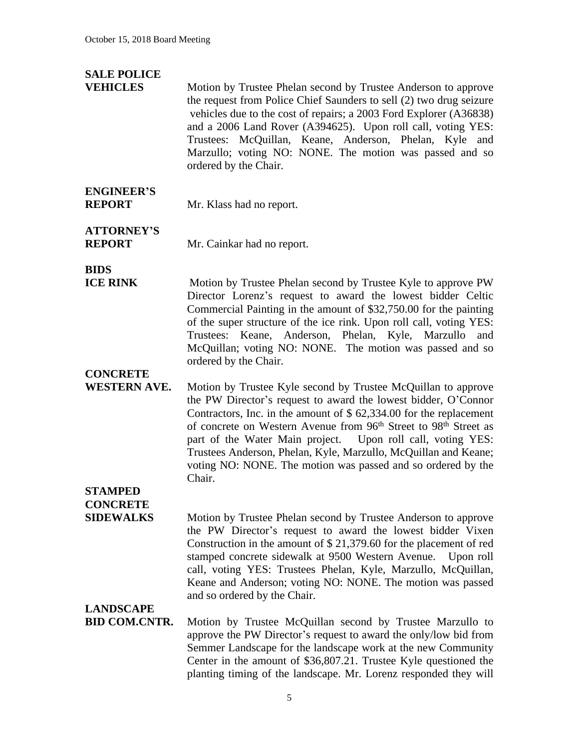### **SALE POLICE**

**VEHICLES** Motion by Trustee Phelan second by Trustee Anderson to approve the request from Police Chief Saunders to sell (2) two drug seizure vehicles due to the cost of repairs; a 2003 Ford Explorer (A36838) and a 2006 Land Rover (A394625). Upon roll call, voting YES: Trustees: McQuillan, Keane, Anderson, Phelan, Kyle and Marzullo; voting NO: NONE. The motion was passed and so ordered by the Chair.

# **ENGINEER'S**

**REPORT** Mr. Klass had no report.

**ATTORNEY'S**

**REPORT** Mr. Cainkar had no report.

**BIDS**

**ICE RINK** Motion by Trustee Phelan second by Trustee Kyle to approve PW Director Lorenz's request to award the lowest bidder Celtic Commercial Painting in the amount of \$32,750.00 for the painting of the super structure of the ice rink. Upon roll call, voting YES: Trustees: Keane, Anderson, Phelan, Kyle, Marzullo and McQuillan; voting NO: NONE. The motion was passed and so ordered by the Chair.

#### **CONCRETE**

**WESTERN AVE.** Motion by Trustee Kyle second by Trustee McQuillan to approve the PW Director's request to award the lowest bidder, O'Connor Contractors, Inc. in the amount of \$ 62,334.00 for the replacement of concrete on Western Avenue from 96<sup>th</sup> Street to 98<sup>th</sup> Street as part of the Water Main project. Upon roll call, voting YES: Trustees Anderson, Phelan, Kyle, Marzullo, McQuillan and Keane; voting NO: NONE. The motion was passed and so ordered by the Chair.

### **STAMPED CONCRETE**

**SIDEWALKS** Motion by Trustee Phelan second by Trustee Anderson to approve the PW Director's request to award the lowest bidder Vixen Construction in the amount of \$ 21,379.60 for the placement of red stamped concrete sidewalk at 9500 Western Avenue. Upon roll call, voting YES: Trustees Phelan, Kyle, Marzullo, McQuillan, Keane and Anderson; voting NO: NONE. The motion was passed and so ordered by the Chair.

# **LANDSCAPE**

Motion by Trustee McQuillan second by Trustee Marzullo to approve the PW Director's request to award the only/low bid from Semmer Landscape for the landscape work at the new Community Center in the amount of \$36,807.21. Trustee Kyle questioned the planting timing of the landscape. Mr. Lorenz responded they will